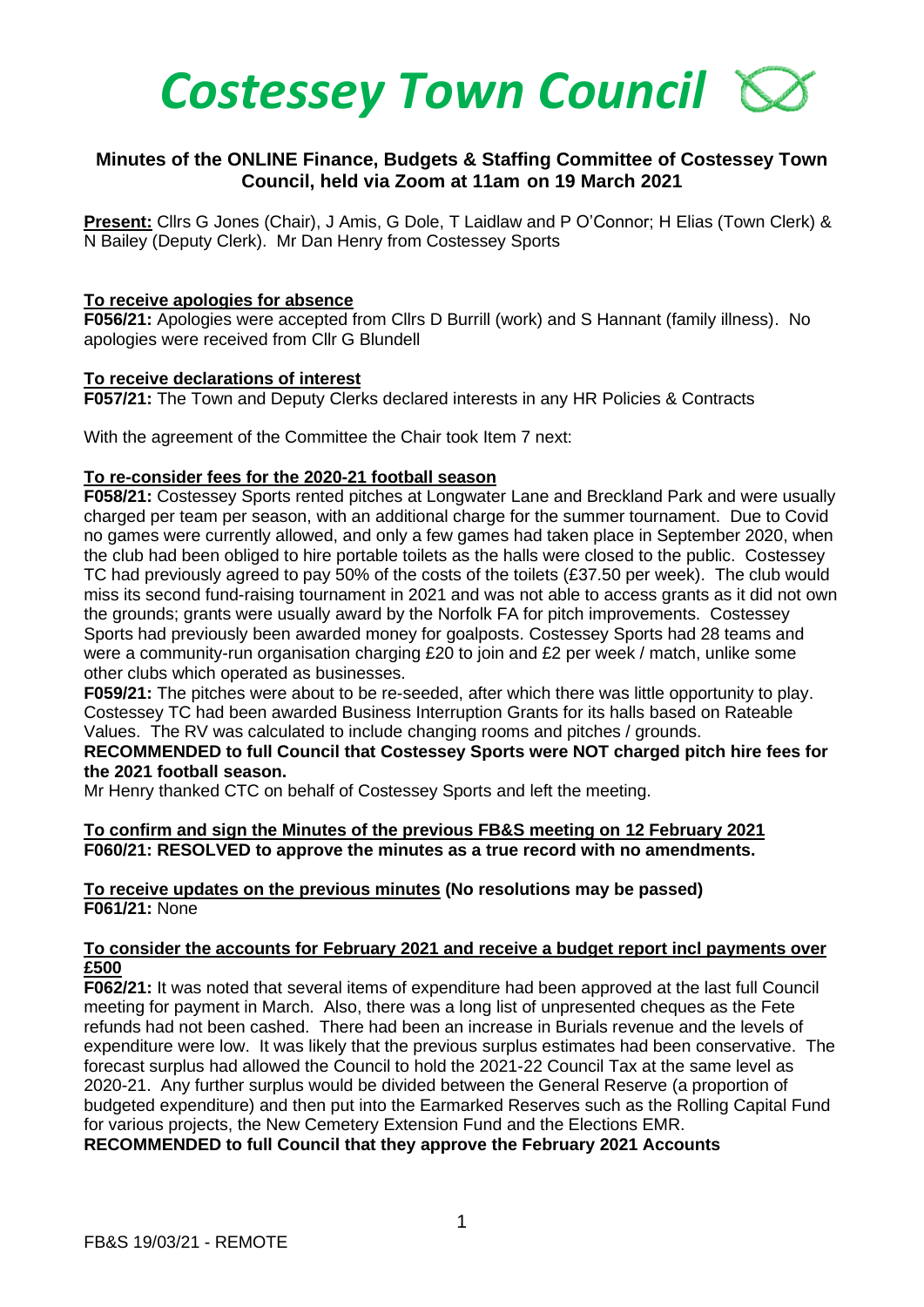

# **Minutes of the ONLINE Finance, Budgets & Staffing Committee of Costessey Town Council, held via Zoom at 11am on 19 March 2021**

**Present:** Cllrs G Jones (Chair), J Amis, G Dole, T Laidlaw and P O'Connor; H Elias (Town Clerk) & N Bailey (Deputy Clerk). Mr Dan Henry from Costessey Sports

### **To receive apologies for absence**

**F056/21:** Apologies were accepted from Cllrs D Burrill (work) and S Hannant (family illness). No apologies were received from Cllr G Blundell

### **To receive declarations of interest**

**F057/21:** The Town and Deputy Clerks declared interests in any HR Policies & Contracts

With the agreement of the Committee the Chair took Item 7 next:

## **To re-consider fees for the 2020-21 football season**

**F058/21:** Costessey Sports rented pitches at Longwater Lane and Breckland Park and were usually charged per team per season, with an additional charge for the summer tournament. Due to Covid no games were currently allowed, and only a few games had taken place in September 2020, when the club had been obliged to hire portable toilets as the halls were closed to the public. Costessey TC had previously agreed to pay 50% of the costs of the toilets (£37.50 per week). The club would miss its second fund-raising tournament in 2021 and was not able to access grants as it did not own the grounds; grants were usually award by the Norfolk FA for pitch improvements. Costessey Sports had previously been awarded money for goalposts. Costessey Sports had 28 teams and were a community-run organisation charging £20 to join and £2 per week / match, unlike some other clubs which operated as businesses.

**F059/21:** The pitches were about to be re-seeded, after which there was little opportunity to play. Costessey TC had been awarded Business Interruption Grants for its halls based on Rateable Values. The RV was calculated to include changing rooms and pitches / grounds.

### **RECOMMENDED to full Council that Costessey Sports were NOT charged pitch hire fees for the 2021 football season.**

Mr Henry thanked CTC on behalf of Costessey Sports and left the meeting.

#### **To confirm and sign the Minutes of the previous FB&S meeting on 12 February 2021 F060/21: RESOLVED to approve the minutes as a true record with no amendments.**

### **To receive updates on the previous minutes (No resolutions may be passed) F061/21:** None

#### **To consider the accounts for February 2021 and receive a budget report incl payments over £500**

**F062/21:** It was noted that several items of expenditure had been approved at the last full Council meeting for payment in March. Also, there was a long list of unpresented cheques as the Fete refunds had not been cashed. There had been an increase in Burials revenue and the levels of expenditure were low. It was likely that the previous surplus estimates had been conservative. The forecast surplus had allowed the Council to hold the 2021-22 Council Tax at the same level as 2020-21. Any further surplus would be divided between the General Reserve (a proportion of budgeted expenditure) and then put into the Earmarked Reserves such as the Rolling Capital Fund for various projects, the New Cemetery Extension Fund and the Elections EMR.

**RECOMMENDED to full Council that they approve the February 2021 Accounts**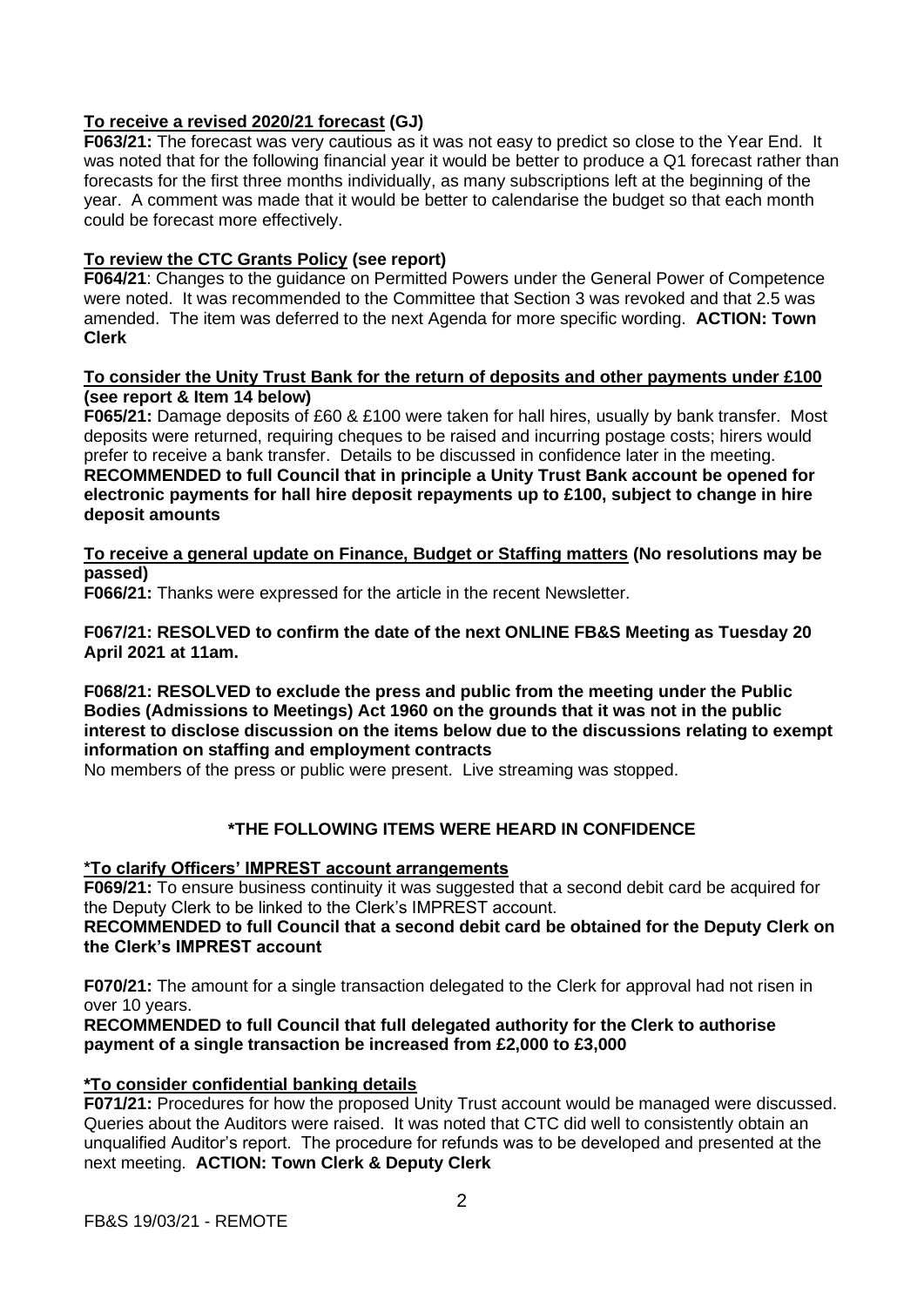# **To receive a revised 2020/21 forecast (GJ)**

**F063/21:** The forecast was very cautious as it was not easy to predict so close to the Year End. It was noted that for the following financial year it would be better to produce a Q1 forecast rather than forecasts for the first three months individually, as many subscriptions left at the beginning of the year. A comment was made that it would be better to calendarise the budget so that each month could be forecast more effectively.

## **To review the CTC Grants Policy (see report)**

**F064/21**: Changes to the guidance on Permitted Powers under the General Power of Competence were noted. It was recommended to the Committee that Section 3 was revoked and that 2.5 was amended. The item was deferred to the next Agenda for more specific wording. **ACTION: Town Clerk** 

### **To consider the Unity Trust Bank for the return of deposits and other payments under £100 (see report & Item 14 below)**

**F065/21:** Damage deposits of £60 & £100 were taken for hall hires, usually by bank transfer. Most deposits were returned, requiring cheques to be raised and incurring postage costs; hirers would prefer to receive a bank transfer. Details to be discussed in confidence later in the meeting. **RECOMMENDED to full Council that in principle a Unity Trust Bank account be opened for electronic payments for hall hire deposit repayments up to £100, subject to change in hire deposit amounts** 

**To receive a general update on Finance, Budget or Staffing matters (No resolutions may be passed)**

**F066/21:** Thanks were expressed for the article in the recent Newsletter.

**F067/21: RESOLVED to confirm the date of the next ONLINE FB&S Meeting as Tuesday 20 April 2021 at 11am.** 

## **F068/21: RESOLVED to exclude the press and public from the meeting under the Public Bodies (Admissions to Meetings) Act 1960 on the grounds that it was not in the public interest to disclose discussion on the items below due to the discussions relating to exempt information on staffing and employment contracts**

No members of the press or public were present. Live streaming was stopped.

# **\*THE FOLLOWING ITEMS WERE HEARD IN CONFIDENCE**

## **\*To clarify Officers' IMPREST account arrangements**

**F069/21:** To ensure business continuity it was suggested that a second debit card be acquired for the Deputy Clerk to be linked to the Clerk's IMPREST account.

## **RECOMMENDED to full Council that a second debit card be obtained for the Deputy Clerk on the Clerk's IMPREST account**

**F070/21:** The amount for a single transaction delegated to the Clerk for approval had not risen in over 10 years.

## **RECOMMENDED to full Council that full delegated authority for the Clerk to authorise payment of a single transaction be increased from £2,000 to £3,000**

## **\*To consider confidential banking details**

**F071/21:** Procedures for how the proposed Unity Trust account would be managed were discussed. Queries about the Auditors were raised. It was noted that CTC did well to consistently obtain an unqualified Auditor's report. The procedure for refunds was to be developed and presented at the next meeting. **ACTION: Town Clerk & Deputy Clerk**